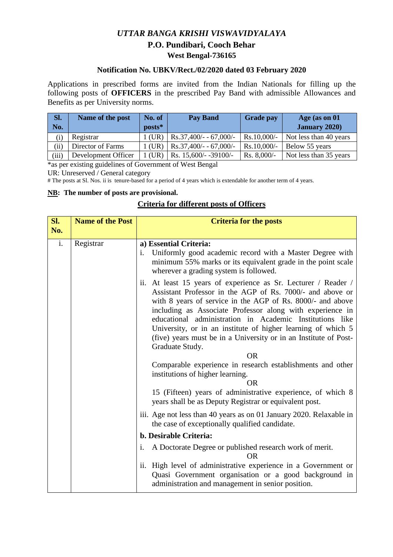## *UTTAR BANGA KRISHI VISWAVIDYALAYA*  **P.O. Pundibari, Cooch Behar West Bengal-736165**

## **Notification No. UBKV/Rect./02/2020 dated 03 February 2020**

Applications in prescribed forms are invited from the Indian Nationals for filling up the following posts of **OFFICERS** in the prescribed Pay Band with admissible Allowances and Benefits as per University norms.

| Sl.      | Name of the post    | No. of   | <b>Pay Band</b>          | <b>Grade pay</b> | Age (as on 01          |
|----------|---------------------|----------|--------------------------|------------------|------------------------|
| No.      |                     | posts*   |                          |                  | <b>January 2020)</b>   |
| $\rm(i)$ | Registrar           | l (UR)   | $Rs.37,400/- - 67,000/-$ | $Rs.10,000/-$    | Not less than 40 years |
| (ii)     | Director of Farms   | $1$ (UR) | $Rs.37,400/- - 67,000/-$ | $Rs.10,000/-$    | Below 55 years         |
| (iii)    | Development Officer | (UR)     | Rs. 15,600/- -39100/-    | Rs. $8,000/-$    | Not less than 35 years |

\*as per existing guidelines of Government of West Bengal

UR: Unreserved / General category

# The posts at Sl. Nos. ii is tenure-based for a period of 4 years which is extendable for another term of 4 years.

### **NB: The number of posts are provisional.**

## **Criteria for different posts of Officers**

| Sl. | <b>Name of the Post</b> | <b>Criteria for the posts</b>                                                                                                                                                                                                                                                                                                                                                                                                                                                                                                                                                                                                                                        |  |
|-----|-------------------------|----------------------------------------------------------------------------------------------------------------------------------------------------------------------------------------------------------------------------------------------------------------------------------------------------------------------------------------------------------------------------------------------------------------------------------------------------------------------------------------------------------------------------------------------------------------------------------------------------------------------------------------------------------------------|--|
| No. |                         |                                                                                                                                                                                                                                                                                                                                                                                                                                                                                                                                                                                                                                                                      |  |
| i.  | Registrar               | a) Essential Criteria:<br>i. Uniformly good academic record with a Master Degree with<br>minimum 55% marks or its equivalent grade in the point scale<br>wherever a grading system is followed.                                                                                                                                                                                                                                                                                                                                                                                                                                                                      |  |
|     |                         | ii. At least 15 years of experience as Sr. Lecturer / Reader /<br>Assistant Professor in the AGP of Rs. 7000/- and above or<br>with 8 years of service in the AGP of Rs. 8000/- and above<br>including as Associate Professor along with experience in<br>educational administration in Academic Institutions like<br>University, or in an institute of higher learning of which 5<br>(five) years must be in a University or in an Institute of Post-<br>Graduate Study.<br><b>OR</b><br>Comparable experience in research establishments and other<br>institutions of higher learning.<br><b>OR</b><br>15 (Fifteen) years of administrative experience, of which 8 |  |
|     |                         | years shall be as Deputy Registrar or equivalent post.                                                                                                                                                                                                                                                                                                                                                                                                                                                                                                                                                                                                               |  |
|     |                         | iii. Age not less than 40 years as on 01 January 2020. Relaxable in<br>the case of exceptionally qualified candidate.                                                                                                                                                                                                                                                                                                                                                                                                                                                                                                                                                |  |
|     |                         | b. Desirable Criteria:                                                                                                                                                                                                                                                                                                                                                                                                                                                                                                                                                                                                                                               |  |
|     |                         | A Doctorate Degree or published research work of merit.<br>i.<br><b>OR</b>                                                                                                                                                                                                                                                                                                                                                                                                                                                                                                                                                                                           |  |
|     |                         | ii. High level of administrative experience in a Government or<br>Quasi Government organisation or a good background in<br>administration and management in senior position.                                                                                                                                                                                                                                                                                                                                                                                                                                                                                         |  |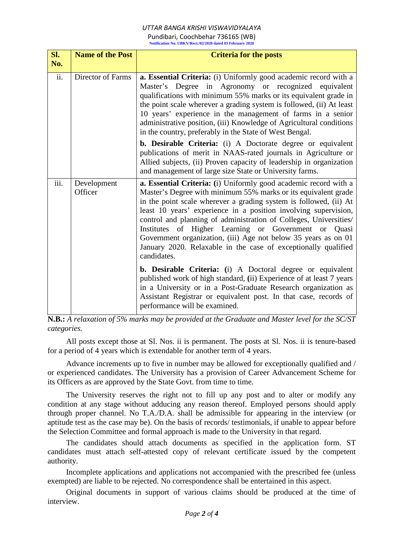# *UTTAR BANGA KRISHI VISWAVIDYALAYA*

Pundibari, Coochbehar 736165 (WB) **Notification No. UBKV/Rect./02/2020 dated 03 February 2020** 

| Sl.<br>No. | <b>Name of the Post</b> | <b>Criteria for the posts</b>                                                                                                                                                                                                                                                                                                                                                                                                                                                                                                                              |  |
|------------|-------------------------|------------------------------------------------------------------------------------------------------------------------------------------------------------------------------------------------------------------------------------------------------------------------------------------------------------------------------------------------------------------------------------------------------------------------------------------------------------------------------------------------------------------------------------------------------------|--|
| ii.        | Director of Farms       | a. Essential Criteria: (i) Uniformly good academic record with a<br>Master's Degree in Agronomy or recognized equivalent<br>qualifications with minimum 55% marks or its equivalent grade in<br>the point scale wherever a grading system is followed, (ii) At least<br>10 years' experience in the management of farms in a senior<br>administrative position, (iii) Knowledge of Agricultural conditions<br>in the country, preferably in the State of West Bengal.                                                                                      |  |
|            |                         | b. Desirable Criteria: (i) A Doctorate degree or equivalent<br>publications of merit in NAAS-rated journals in Agriculture or<br>Allied subjects, (ii) Proven capacity of leadership in organization<br>and management of large size State or University farms.                                                                                                                                                                                                                                                                                            |  |
| iii.       | Development<br>Officer  | a. Essential Criteria: (i) Uniformly good academic record with a<br>Master's Degree with minimum 55% marks or its equivalent grade<br>in the point scale wherever a grading system is followed, (ii) At<br>least 10 years' experience in a position involving supervision,<br>control and planning of administration of Colleges, Universities/<br>Institutes of Higher Learning or Government or Quasi<br>Government organization, (iii) Age not below 35 years as on 01<br>January 2020. Relaxable in the case of exceptionally qualified<br>candidates. |  |
|            |                         | <b>b. Desirable Criteria:</b> (i) A Doctoral degree or equivalent<br>published work of high standard, (ii) Experience of at least 7 years<br>in a University or in a Post-Graduate Research organization as<br>Assistant Registrar or equivalent post. In that case, records of<br>performance will be examined.                                                                                                                                                                                                                                           |  |

**N.B.:** *A relaxation of 5% marks may be provided at the Graduate and Master level for the SC/ST categories.*

All posts except those at Sl. Nos. ii is permanent. The posts at Sl. Nos. ii is tenure-based for a period of 4 years which is extendable for another term of 4 years.

Advance increments up to five in number may be allowed for exceptionally qualified and / or experienced candidates. The University has a provision of Career Advancement Scheme for its Officers as are approved by the State Govt. from time to time.

The University reserves the right not to fill up any post and to alter or modify any condition at any stage without adducing any reason thereof. Employed persons should apply through proper channel. No T.A./D.A. shall be admissible for appearing in the interview (or aptitude test as the case may be). On the basis of records/ testimonials, if unable to appear before the Selection Committee and formal approach is made to the University in that regard.

The candidates should attach documents as specified in the application form. ST candidates must attach self-attested copy of relevant certificate issued by the competent authority.

Incomplete applications and applications not accompanied with the prescribed fee (unless exempted) are liable to be rejected. No correspondence shall be entertained in this aspect.

Original documents in support of various claims should be produced at the time of interview.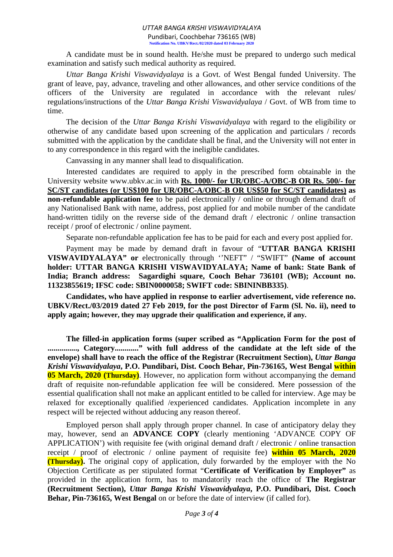#### *UTTAR BANGA KRISHI VISWAVIDYALAYA* Pundibari, Coochbehar 736165 (WB) **Notification No. UBKV/Rect./02/2020 dated 03 February 2020**

A candidate must be in sound health. He/she must be prepared to undergo such medical examination and satisfy such medical authority as required.

*Uttar Banga Krishi Viswavidyalaya* is a Govt. of West Bengal funded University. The grant of leave, pay, advance, traveling and other allowances, and other service conditions of the officers of the University are regulated in accordance with the relevant rules/ regulations/instructions of the *Uttar Banga Krishi Viswavidyalaya* / Govt. of WB from time to time.

The decision of the *Uttar Banga Krishi Viswavidyalaya* with regard to the eligibility or otherwise of any candidate based upon screening of the application and particulars / records submitted with the application by the candidate shall be final, and the University will not enter in to any correspondence in this regard with the ineligible candidates.

Canvassing in any manner shall lead to disqualification.

Interested candidates are required to apply in the prescribed form obtainable in the University website www.ubkv.ac.in with **Rs. 1000/- for UR/OBC-A/OBC-B OR Rs. 500/- for SC/ST candidates (or US\$100 for UR/OBC-A/OBC-B OR US\$50 for SC/ST candidates) as non-refundable application fee** to be paid electronically / online or through demand draft of any Nationalised Bank with name, address, post applied for and mobile number of the candidate hand-written tidily on the reverse side of the demand draft / electronic / online transaction receipt / proof of electronic / online payment.

Separate non-refundable application fee has to be paid for each and every post applied for.

Payment may be made by demand draft in favour of "**UTTAR BANGA KRISHI VISWAVIDYALAYA" or** electronically through ''NEFT" / "SWIFT" **(Name of account holder: UTTAR BANGA KRISHI VISWAVIDYALAYA; Name of bank: State Bank of India; Branch address: Sagardighi square, Cooch Behar 736101 (WB); Account no. 11323855619; IFSC code: SBIN0000058; SWIFT code: SBININBB335)**.

**Candidates, who have applied in response to earlier advertisement, vide reference no. UBKV/Rect./03/2019 dated 27 Feb 2019, for the post Director of Farm (Sl. No. ii), need to apply again; however, they may upgrade their qualification and experience, if any.** 

**The filled-in application forms (super scribed as "Application Form for the post of**  ..............., Category............." with full address of the candidate at the left side of the **envelope) shall have to reach the office of the Registrar (Recruitment Section),** *Uttar Banga Krishi Viswavidyalaya***, P.O. Pundibari, Dist. Cooch Behar, Pin-736165, West Bengal within 05 March, 2020 (Thursday)**. However, no application form without accompanying the demand draft of requisite non-refundable application fee will be considered. Mere possession of the essential qualification shall not make an applicant entitled to be called for interview. Age may be relaxed for exceptionally qualified /experienced candidates. Application incomplete in any respect will be rejected without adducing any reason thereof.

Employed person shall apply through proper channel. In case of anticipatory delay they may, however, send an **ADVANCE COPY** (clearly mentioning 'ADVANCE COPY OF APPLICATION') with requisite fee (with original demand draft / electronic / online transaction receipt / proof of electronic / online payment of requisite fee) **within 05 March, 2020 (Thursday).** The original copy of application, duly forwarded by the employer with the No Objection Certificate as per stipulated format "**Certificate of Verification by Employer"** as provided in the application form, has to mandatorily reach the office of **The Registrar (Recruitment Section),** *Uttar Banga Krishi Viswavidyalaya***, P.O. Pundibari, Dist. Cooch Behar, Pin-736165, West Bengal** on or before the date of interview (if called for).